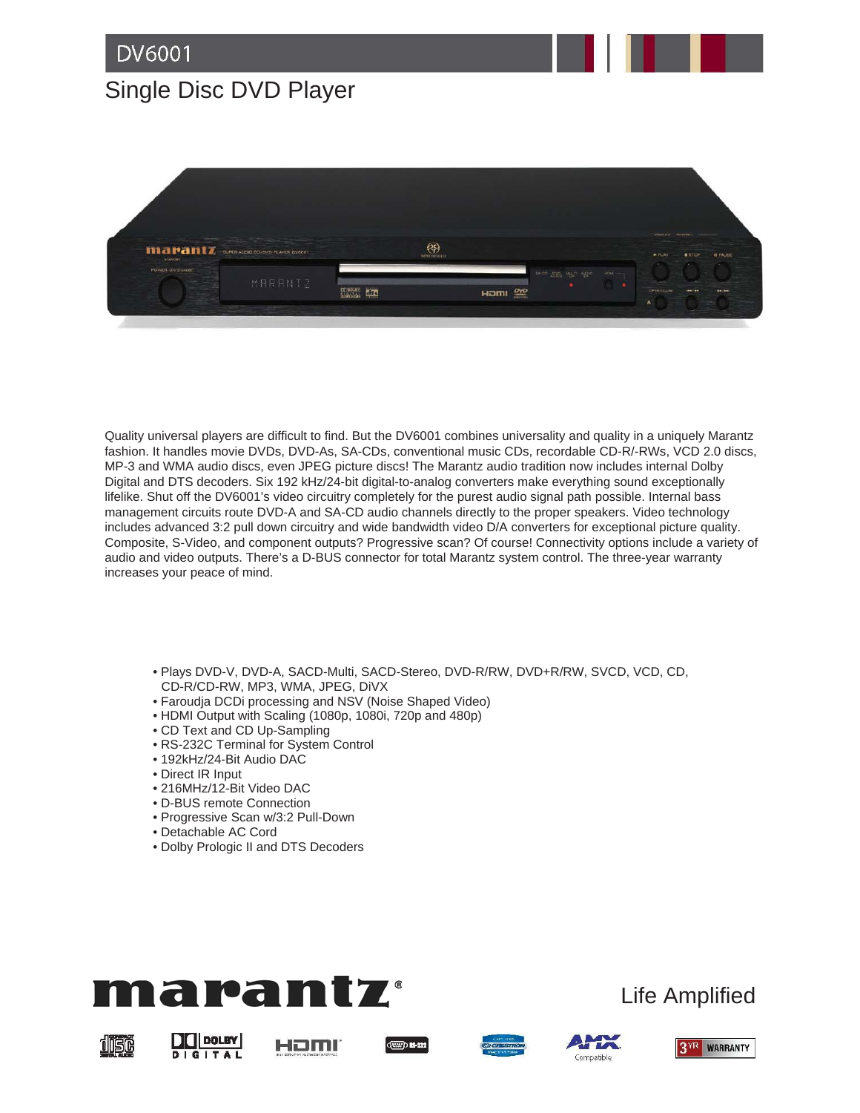## Single Disc DVD Player



Quality universal players are difficult to find. But the DV6001 combines universality and quality in a uniquely Marantz fashion. It handles movie DVDs, DVD-As, SA-CDs, conventional music CDs, recordable CD-R/-RWs, VCD 2.0 discs, MP-3 and WMA audio discs, even JPEG picture discs! The Marantz audio tradition now includes internal Dolby Digital and DTS decoders. Six 192 kHz/24-bit digital-to-analog converters make everything sound exceptionally lifelike. Shut off the DV6001's video circuitry completely for the purest audio signal path possible. Internal bass management circuits route DVD-A and SA-CD audio channels directly to the proper speakers. Video technology includes advanced 3:2 pull down circuitry and wide bandwidth video D/A converters for exceptional picture quality. Composite, S-Video, and component outputs? Progressive scan? Of course! Connectivity options include a variety of audio and video outputs. There's a D-BUS connector for total Marantz system control. The three-year warranty increases your peace of mind.

- Plays DVD-V, DVD-A, SACD-Multi, SACD-Stereo, DVD-R/RW, DVD+R/RW, SVCD, VCD, CD, CD-R/CD-RW, MP3, WMA, JPEG, DiVX
- Faroudja DCDi processing and NSV (Noise Shaped Video)
- HDMI Output with Scaling (1080p, 1080i, 720p and 480p)
- CD Text and CD Up-Sampling
- RS-232C Terminal for System Control
- 192kHz/24-Bit Audio DAC
- Direct IR Input
- 216MHz/12-Bit Video DAC
- D-BUS remote Connection
- Progressive Scan w/3:2 Pull-Down
- Detachable AC Cord
- Dolby Prologic II and DTS Decoders



## Life Amplified